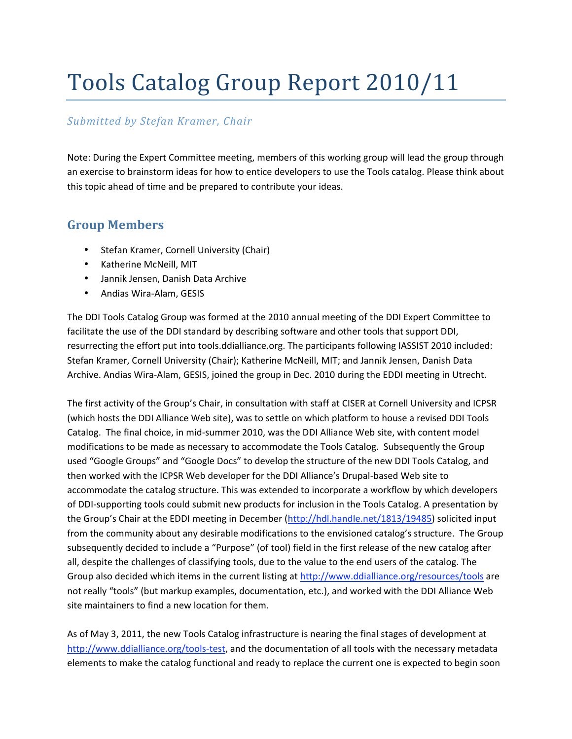## Tools Catalog Group Report 2010/11

## *Submitted by Stefan Kramer, Chair*

Note: During the Expert Committee meeting, members of this working group will lead the group through an exercise to brainstorm ideas for how to entice developers to use the Tools catalog. Please think about this topic ahead of time and be prepared to contribute your ideas.

## **Group Members**

- Stefan Kramer, Cornell University (Chair)
- Katherine McNeill, MIT
- Jannik Jensen, Danish Data Archive
- Andias Wira‐Alam, GESIS

The DDI Tools Catalog Group was formed at the 2010 annual meeting of the DDI Expert Committee to facilitate the use of the DDI standard by describing software and other tools that support DDI, resurrecting the effort put into tools.ddialliance.org. The participants following IASSIST 2010 included: Stefan Kramer, Cornell University (Chair); Katherine McNeill, MIT; and Jannik Jensen, Danish Data Archive. Andias Wira‐Alam, GESIS, joined the group in Dec. 2010 during the EDDI meeting in Utrecht.

The first activity of the Group's Chair, in consultation with staff at CISER at Cornell University and ICPSR (which hosts the DDI Alliance Web site), was to settle on which platform to house a revised DDI Tools Catalog. The final choice, in mid‐summer 2010, was the DDI Alliance Web site, with content model modifications to be made as necessary to accommodate the Tools Catalog. Subsequently the Group used "Google Groups" and "Google Docs" to develop the structure of the new DDI Tools Catalog, and then worked with the ICPSR Web developer for the DDI Alliance's Drupal‐based Web site to accommodate the catalog structure. This was extended to incorporate a workflow by which developers of DDI‐supporting tools could submit new products for inclusion in the Tools Catalog. A presentation by the Group's Chair at the EDDI meeting in December (http://hdl.handle.net/1813/19485) solicited input from the community about any desirable modifications to the envisioned catalog's structure. The Group subsequently decided to include a "Purpose" (of tool) field in the first release of the new catalog after all, despite the challenges of classifying tools, due to the value to the end users of the catalog. The Group also decided which items in the current listing at http://www.ddialliance.org/resources/tools are not really "tools" (but markup examples, documentation, etc.), and worked with the DDI Alliance Web site maintainers to find a new location for them.

As of May 3, 2011, the new Tools Catalog infrastructure is nearing the final stages of development at http://www.ddialliance.org/tools-test, and the documentation of all tools with the necessary metadata elements to make the catalog functional and ready to replace the current one is expected to begin soon